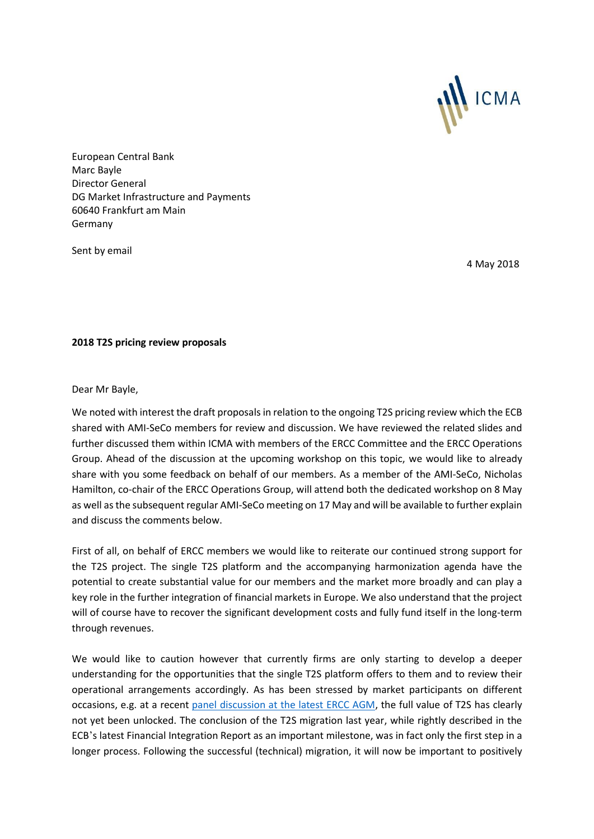

European Central Bank Marc Bayle Director General DG Market Infrastructure and Payments 60640 Frankfurt am Main Germany

Sent by email

4 May 2018

## **2018 T2S pricing review proposals**

Dear Mr Bayle,

We noted with interest the draft proposals in relation to the ongoing T2S pricing review which the ECB shared with AMI-SeCo members for review and discussion. We have reviewed the related slides and further discussed them within ICMA with members of the ERCC Committee and the ERCC Operations Group. Ahead of the discussion at the upcoming workshop on this topic, we would like to already share with you some feedback on behalf of our members. As a member of the AMI-SeCo, Nicholas Hamilton, co-chair of the ERCC Operations Group, will attend both the dedicated workshop on 8 May as well as the subsequent regular AMI-SeCo meeting on 17 May and will be available to further explain and discuss the comments below.

First of all, on behalf of ERCC members we would like to reiterate our continued strong support for the T2S project. The single T2S platform and the accompanying harmonization agenda have the potential to create substantial value for our members and the market more broadly and can play a key role in the further integration of financial markets in Europe. We also understand that the project will of course have to recover the significant development costs and fully fund itself in the long-term through revenues.

We would like to caution however that currently firms are only starting to develop a deeper understanding for the opportunities that the single T2S platform offers to them and to review their operational arrangements accordingly. As has been stressed by market participants on different occasions, e.g. at a recent [panel discussion at the latest ERCC AGM,](https://www.icmagroup.org/assets/documents/ERC/Minutes-from-repo-council-meetings/ERCC-AGM---14-March-2018---minutes-040418.pdf) the full value of T2S has clearly not yet been unlocked. The conclusion of the T2S migration last year, while rightly described in the ECB's latest Financial Integration Report as an important milestone, was in fact only the first step in a longer process. Following the successful (technical) migration, it will now be important to positively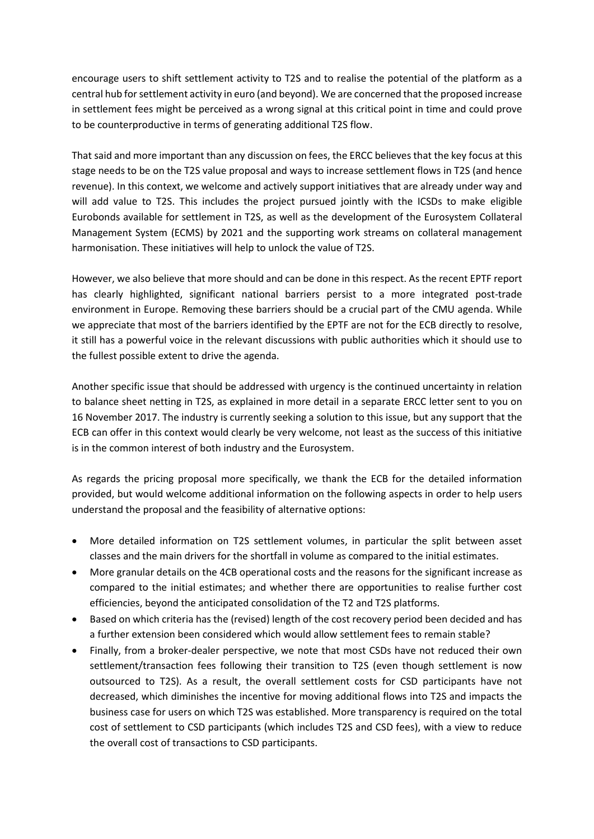encourage users to shift settlement activity to T2S and to realise the potential of the platform as a central hub for settlement activity in euro (and beyond). We are concerned that the proposed increase in settlement fees might be perceived as a wrong signal at this critical point in time and could prove to be counterproductive in terms of generating additional T2S flow.

That said and more important than any discussion on fees, the ERCC believes that the key focus at this stage needs to be on the T2S value proposal and ways to increase settlement flows in T2S (and hence revenue). In this context, we welcome and actively support initiatives that are already under way and will add value to T2S. This includes the project pursued jointly with the ICSDs to make eligible Eurobonds available for settlement in T2S, as well as the development of the Eurosystem Collateral Management System (ECMS) by 2021 and the supporting work streams on collateral management harmonisation. These initiatives will help to unlock the value of T2S.

However, we also believe that more should and can be done in this respect. As the recent EPTF report has clearly highlighted, significant national barriers persist to a more integrated post-trade environment in Europe. Removing these barriers should be a crucial part of the CMU agenda. While we appreciate that most of the barriers identified by the EPTF are not for the ECB directly to resolve, it still has a powerful voice in the relevant discussions with public authorities which it should use to the fullest possible extent to drive the agenda.

Another specific issue that should be addressed with urgency is the continued uncertainty in relation to balance sheet netting in T2S, as explained in more detail in a separate ERCC letter sent to you on 16 November 2017. The industry is currently seeking a solution to this issue, but any support that the ECB can offer in this context would clearly be very welcome, not least as the success of this initiative is in the common interest of both industry and the Eurosystem.

As regards the pricing proposal more specifically, we thank the ECB for the detailed information provided, but would welcome additional information on the following aspects in order to help users understand the proposal and the feasibility of alternative options:

- More detailed information on T2S settlement volumes, in particular the split between asset classes and the main drivers for the shortfall in volume as compared to the initial estimates.
- More granular details on the 4CB operational costs and the reasons for the significant increase as compared to the initial estimates; and whether there are opportunities to realise further cost efficiencies, beyond the anticipated consolidation of the T2 and T2S platforms.
- Based on which criteria has the (revised) length of the cost recovery period been decided and has a further extension been considered which would allow settlement fees to remain stable?
- Finally, from a broker-dealer perspective, we note that most CSDs have not reduced their own settlement/transaction fees following their transition to T2S (even though settlement is now outsourced to T2S). As a result, the overall settlement costs for CSD participants have not decreased, which diminishes the incentive for moving additional flows into T2S and impacts the business case for users on which T2S was established. More transparency is required on the total cost of settlement to CSD participants (which includes T2S and CSD fees), with a view to reduce the overall cost of transactions to CSD participants.